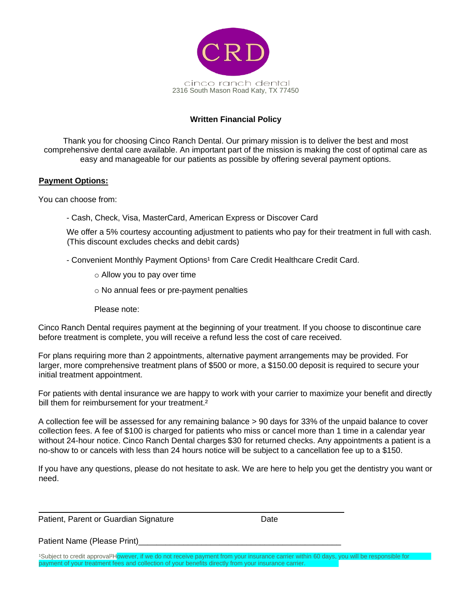

## **Written Financial Policy**

Thank you for choosing Cinco Ranch Dental. Our primary mission is to deliver the best and most comprehensive dental care available. An important part of the mission is making the cost of optimal care as easy and manageable for our patients as possible by offering several payment options.

### **Payment Options:**

You can choose from:

- Cash, Check, Visa, MasterCard, American Express or Discover Card

We offer a 5% courtesy accounting adjustment to patients who pay for their treatment in full with cash. (This discount excludes checks and debit cards)

- Convenient Monthly Payment Options<sup>1</sup> from Care Credit Healthcare Credit Card.
	- o Allow you to pay over time
	- o No annual fees or pre-payment penalties
	- Please note:

Cinco Ranch Dental requires payment at the beginning of your treatment. If you choose to discontinue care before treatment is complete, you will receive a refund less the cost of care received.

For plans requiring more than 2 appointments, alternative payment arrangements may be provided. For larger, more comprehensive treatment plans of \$500 or more, a \$150.00 deposit is required to secure your initial treatment appointment.

For patients with dental insurance we are happy to work with your carrier to maximize your benefit and directly bill them for reimbursement for your treatment.<sup>2</sup>

A collection fee will be assessed for any remaining balance > 90 days for 33% of the unpaid balance to cover collection fees. A fee of \$100 is charged for patients who miss or cancel more than 1 time in a calendar year without 24-hour notice. Cinco Ranch Dental charges \$30 for returned checks. Any appointments a patient is a no-show to or cancels with less than 24 hours notice will be subject to a cancellation fee up to a \$150.

If you have any questions, please do not hesitate to ask. We are here to help you get the dentistry you want or need.

Patient, Parent or Guardian Signature Date

Patient Name (Please Print)

Subject to credit approval<sup>2</sup>However, if we do not receive payment from your insurance carrier within 60 days, you will be responsible for payment of your treatment fees and collection of your benefits directly from your insurance carrier.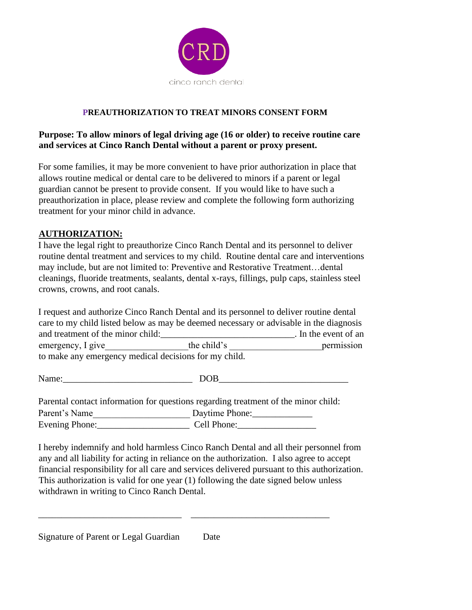

## **PREAUTHORIZATION TO TREAT MINORS CONSENT FORM**

## **Purpose: To allow minors of legal driving age (16 or older) to receive routine care and services at Cinco Ranch Dental without a parent or proxy present.**

For some families, it may be more convenient to have prior authorization in place that allows routine medical or dental care to be delivered to minors if a parent or legal guardian cannot be present to provide consent. If you would like to have such a preauthorization in place, please review and complete the following form authorizing treatment for your minor child in advance.

## **AUTHORIZATION:**

I have the legal right to preauthorize Cinco Ranch Dental and its personnel to deliver routine dental treatment and services to my child. Routine dental care and interventions may include, but are not limited to: Preventive and Restorative Treatment…dental cleanings, fluoride treatments, sealants, dental x-rays, fillings, pulp caps, stainless steel crowns, crowns, and root canals.

I request and authorize Cinco Ranch Dental and its personnel to deliver routine dental care to my child listed below as may be deemed necessary or advisable in the diagnosis and treatment of the minor child: The minor child: The event of an event of an event of an event of an event of an event of an event of an event of an event of an event of an event of an event of an event of an event of an emergency, I give the child's permission to make any emergency medical decisions for my child.

Parental contact information for questions regarding treatment of the minor child: Parent's Name Daytime Phone: Evening Phone: Cell Phone:

\_\_\_\_\_\_\_\_\_\_\_\_\_\_\_\_\_\_\_\_\_\_\_\_\_\_\_\_\_\_\_ \_\_\_\_\_\_\_\_\_\_\_\_\_\_\_\_\_\_\_\_\_\_\_\_\_\_\_\_\_\_

I hereby indemnify and hold harmless Cinco Ranch Dental and all their personnel from any and all liability for acting in reliance on the authorization. I also agree to accept financial responsibility for all care and services delivered pursuant to this authorization. This authorization is valid for one year (1) following the date signed below unless withdrawn in writing to Cinco Ranch Dental.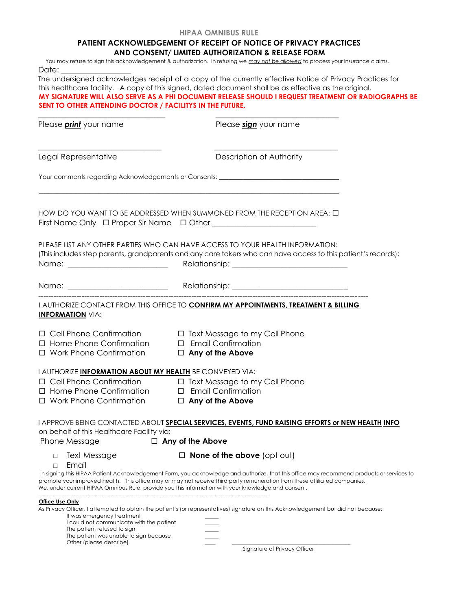#### **HIPAA OMNIBUS RULE**

### **PATIENT ACKNOWLEDGEMENT OF RECEIPT OF NOTICE OF PRIVACY PRACTICES AND CONSENT/ LIMITED AUTHORIZATION & RELEASE FORM**

You may refuse to sign this acknowledgement & authorization. In refusing we *may not be allowed* to process your insurance claims. Date:

The undersigned acknowledges receipt of a copy of the currently effective Notice of Privacy Practices for this healthcare facility. A copy of this signed, dated document shall be as effective as the original. **MY SIGNATURE WILL ALSO SERVE AS A PHI DOCUMENT RELEASE SHOULD I REQUEST TREATMENT OR RADIOGRAPHS BE SENT TO OTHER ATTENDING DOCTOR / FACILITYS IN THE FUTURE.** 

| Please <i>print</i> your name                                                                                                                                                                 | Please sign your name                                                                                                                                                                                                                                                                                                                                                          |
|-----------------------------------------------------------------------------------------------------------------------------------------------------------------------------------------------|--------------------------------------------------------------------------------------------------------------------------------------------------------------------------------------------------------------------------------------------------------------------------------------------------------------------------------------------------------------------------------|
| Legal Representative                                                                                                                                                                          | Description of Authority                                                                                                                                                                                                                                                                                                                                                       |
|                                                                                                                                                                                               | Your comments regarding Acknowledgements or Consents: ___________________________                                                                                                                                                                                                                                                                                              |
|                                                                                                                                                                                               | HOW DO YOU WANT TO BE ADDRESSED WHEN SUMMONED FROM THE RECEPTION AREA: $\Box$<br>First Name Only $\Box$ Proper Sir Name $\Box$ Other ________________________________                                                                                                                                                                                                          |
|                                                                                                                                                                                               | PLEASE LIST ANY OTHER PARTIES WHO CAN HAVE ACCESS TO YOUR HEALTH INFORMATION:<br>(This includes step parents, grandparents and any care takers who can have access to this patient's records):                                                                                                                                                                                 |
|                                                                                                                                                                                               |                                                                                                                                                                                                                                                                                                                                                                                |
| <b>INFORMATION VIA:</b>                                                                                                                                                                       | I AUTHORIZE CONTACT FROM THIS OFFICE TO <b>CONFIRM MY APPOINTMENTS, TREATMENT &amp; BILLING</b>                                                                                                                                                                                                                                                                                |
| $\Box$ Home Phone Confirmation $\Box$ Email Confirmation<br>$\Box$ Work Phone Confirmation $\Box$ Any of the Above                                                                            | □ Cell Phone Confirmation □ Text Message to my Cell Phone                                                                                                                                                                                                                                                                                                                      |
| I AUTHORIZE <b>INFORMATION ABOUT MY HEALTH</b> BE CONVEYED VIA:                                                                                                                               |                                                                                                                                                                                                                                                                                                                                                                                |
| $\Box$ Home Phone Confirmation $\Box$ Email Confirmation<br>□ Work Phone Confirmation □ Any of the Above                                                                                      | □ Cell Phone Confirmation □ Text Message to my Cell Phone                                                                                                                                                                                                                                                                                                                      |
| on behalf of this Healthcare Facility via:<br>Phone Message                                                                                                                                   | I APPROVE BEING CONTACTED ABOUT SPECIAL SERVICES, EVENTS, FUND RAISING EFFORTS or NEW HEALTH INFO<br>$\Box$ Any of the Above                                                                                                                                                                                                                                                   |
| $\Box$ Text Message<br>Email<br>$\Box$                                                                                                                                                        | $\Box$ None of the above (opt out)                                                                                                                                                                                                                                                                                                                                             |
|                                                                                                                                                                                               | In signing this HIPAA Patient Acknowledgement Form, you acknowledge and authorize, that this office may recommend products or services to<br>promote your improved health. This office may or may not receive third party remuneration from these affiliated companies.<br>We, under current HIPAA Omnibus Rule, provide you this information with your knowledge and consent. |
| Office Use Only<br>It was emergency treatment<br>I could not communicate with the patient<br>The patient refused to sign<br>The patient was unable to sign because<br>Other (please describe) | As Privacy Officer, I attempted to obtain the patient's (or representatives) signature on this Acknowledgement but did not because:<br>Sianature of Privacy Officer                                                                                                                                                                                                            |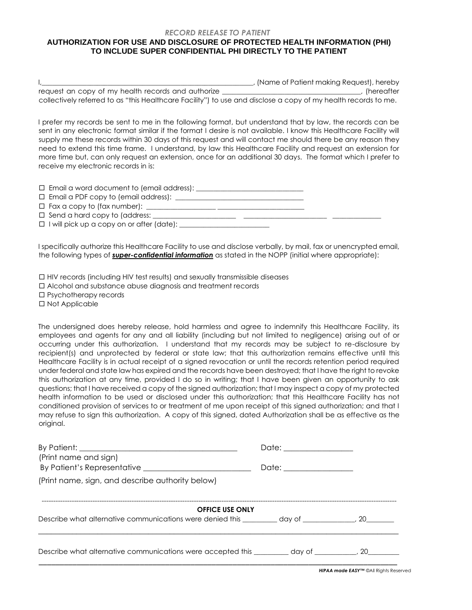#### *RECORD RELEASE TO PATIENT*  **AUTHORIZATION FOR USE AND DISCLOSURE OF PROTECTED HEALTH INFORMATION (PHI)**

# **TO INCLUDE SUPER CONFIDENTIAL PHI DIRECTLY TO THE PATIENT**

|                                                                                                                | , (Name of Patient making Request), hereby |
|----------------------------------------------------------------------------------------------------------------|--------------------------------------------|
| request an copy of my health records and authorize                                                             | (hereafter                                 |
| collectively referred to as "this Healthcare Facility") to use and disclose a copy of my health records to me. |                                            |

I prefer my records be sent to me in the following format, but understand that by law, the records can be sent in any electronic format similar if the format I desire is not available. I know this Healthcare Facility will supply me these records within 30 days of this request and will contact me should there be any reason they need to extend this time frame. I understand, by law this Healthcare Facility and request an extension for more time but, can only request an extension, once for an additional 30 days. The format which I prefer to receive my electronic records in is:

| $\square$ Email a word document to (email address): $\_\_$ |  |  |
|------------------------------------------------------------|--|--|
| $\square$ Email a PDF copy to (email address): $\square$   |  |  |
|                                                            |  |  |
| $\Box$ Send a hard copy to (address: $\Box$                |  |  |
|                                                            |  |  |
|                                                            |  |  |

I specifically authorize this Healthcare Facility to use and disclose verbally, by mail, fax or unencrypted email, the following types of *super-confidential information* as stated in the NOPP (initial where appropriate):

HIV records (including HIV test results) and sexually transmissible diseases

Alcohol and substance abuse diagnosis and treatment records

Psychotherapy records

□ Not Applicable

The undersigned does hereby release, hold harmless and agree to indemnify this Healthcare Facility, its employees and agents for any and all liability (including but not limited to negligence) arising out of or occurring under this authorization. I understand that my records may be subject to re-disclosure by recipient(s) and unprotected by federal or state law; that this authorization remains effective until this Healthcare Facility is in actual receipt of a signed revocation or until the records retention period required under federal and state law has expired and the records have been destroyed; that I have the right to revoke this authorization at any time, provided I do so in writing; that I have been given an opportunity to ask questions; that I have received a copy of the signed authorization; that I may inspect a copy of my protected health information to be used or disclosed under this authorization; that this Healthcare Facility has not conditioned provision of services to or treatment of me upon receipt of this signed authorization; and that I may refuse to sign this authorization. A copy of this signed, dated Authorization shall be as effective as the original.

| (Print name and sign)                                                                                                | Date: _______________    |  |
|----------------------------------------------------------------------------------------------------------------------|--------------------------|--|
|                                                                                                                      | Date: __________________ |  |
| (Print name, sign, and describe authority below)                                                                     |                          |  |
| <b>OFFICE USE ONLY</b>                                                                                               |                          |  |
|                                                                                                                      |                          |  |
| Describe what alternative communications were accepted this day of the case of the communications were accepted this |                          |  |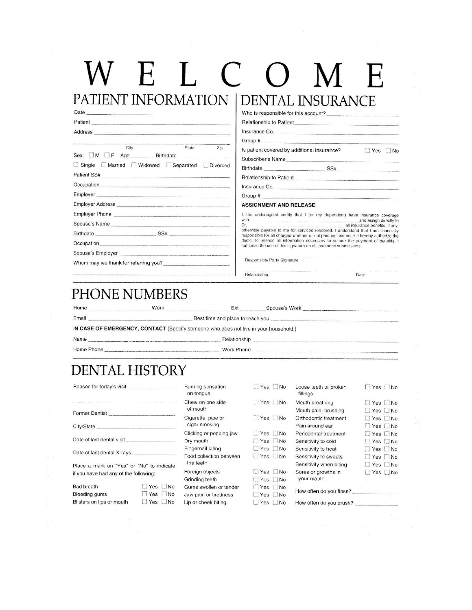## W E L C  $\Box$  $\mathbf T$ PATIENT INFORMATION **DENTAL INSURANCE**

| e. |  |
|----|--|

Patient SS# Occupation\_ Employer Employer Address Employer Phone

Spouse's Name

Spouse's Employer

Birthdate

Occupation\_

Who is responsible for this account? **Relationship to Patient** 

| <b>FRICHI Example 200 Contract Constitution Constitution Constitution Constitution Constitution Constitution</b> |       |     | relationship to Fattern                                          |                                   |
|------------------------------------------------------------------------------------------------------------------|-------|-----|------------------------------------------------------------------|-----------------------------------|
| Address                                                                                                          |       |     | Insurance Co.                                                    |                                   |
|                                                                                                                  |       |     |                                                                  |                                   |
| City                                                                                                             | State | Zip | Is patient covered by additional insurance?<br>Subscriber's Name | $\Box$ Yes $\Box$                 |
| □ Single ■ Married ■ Widowed ■ Separated ■ Divorced                                                              |       |     |                                                                  | $SS# \underbrace{\qquad \qquad }$ |
|                                                                                                                  |       |     | Relationship to Patient                                          |                                   |
| Occupation                                                                                                       |       |     |                                                                  |                                   |
|                                                                                                                  |       |     |                                                                  |                                   |
| <b>Employer Address</b>                                                                                          |       |     | ASSIGNMENT AND RELEASE                                           |                                   |

I, the undersigned certify that I (or my dependent) have insurance coverage with and assign directly to all insurance benefits, if any, Dr. otherwise payable to me for services rendered. I understand that I am financially

No

responsible for all charges whether or not paid by insurance. I hereby authorize the doctor to release all information necessary to secure the payment of benefits. I authorize the use of this signature on all insurance submissions

Date

Responsible Party Signature

Relationship

# PHONE NUMBERS

Whom may we thank for referring you?

Home Work Ext Spouse's Work Email Best time and place to reach you

IN CASE OF EMERGENCY, CONTACT (Specify someone who does not live in your household.)

 $-$  SS#  $-$ 

Name

Relationship

Home Phone

Work Phone

# **DENTAL HISTORY**

| Reason for today's visit                  |                      | Burning sensation<br>on tonque | $Yes$ No             | Loose teeth or broken<br>fillings             | $\Box$ Yes $\Box$ No |
|-------------------------------------------|----------------------|--------------------------------|----------------------|-----------------------------------------------|----------------------|
|                                           |                      | Chew on one side<br>of mouth   | $\Box$ Yes $\Box$ No | Mouth breathing                               | $\Box$ Yes $\Box$ No |
| <b>Former Dentist</b>                     |                      |                                |                      | Mouth pain, brushing                          | $\Box$ Yes $\Box$ No |
|                                           |                      | Cigarette, pipe or             | $\Box$ Yes $\Box$ No | Orthodontic treatment                         | $\Box$ Yes $\Box$ No |
|                                           |                      | cigar smoking                  |                      | Pain around ear                               | $\Box$ Yes $\Box$ No |
|                                           |                      | Clicking or popping jaw        | $\Box$ Yes $\Box$ No | Periodontal treatment                         | $\Box$ Yes $\Box$ No |
|                                           |                      | Dry mouth                      | $Yes$ $No$           | Sensitivity to cold                           | $\Box$ Yes $\Box$ No |
|                                           |                      | Fingernail biting              | $\Box$ Yes $\Box$ No | Sensitivity to heat                           | $\Box$ Yes $\Box$ No |
| Date of last dental X-rays                |                      | Food collection between        | $\Box$ Yes $\Box$ No | Sensitivity to sweets                         | $\Box$ Yes $\Box$ No |
| Place a mark on "Yes" or "No" to indicate |                      | the teeth                      |                      | Sensitivity when biting                       | $\Box$ Yes $\Box$ No |
| if you have had any of the following:     |                      | Foreign objects                | $\Box$ Yes $\Box$ No | Sores or growths in                           | $\Box$ Yes $\Box$ No |
|                                           |                      | Grinding teeth                 | $\Box$ Yes $\Box$ No | your mouth                                    |                      |
| Bad breath                                | $\Box$ Yes $\Box$ No | Gums swollen or tender         | $\Box$ Yes $\Box$ No |                                               |                      |
| Bleeding gums                             | $\Box$ Yes $\Box$ No | Jaw pain or tiredness          | $\Box$ Yes $\Box$ No | How often do you floss? _____________________ |                      |
| Blisters on lips or mouth                 | $\Box$ Yes $\Box$ No | in or cheek biting             | Yes INO              | How often do you brush?                       |                      |